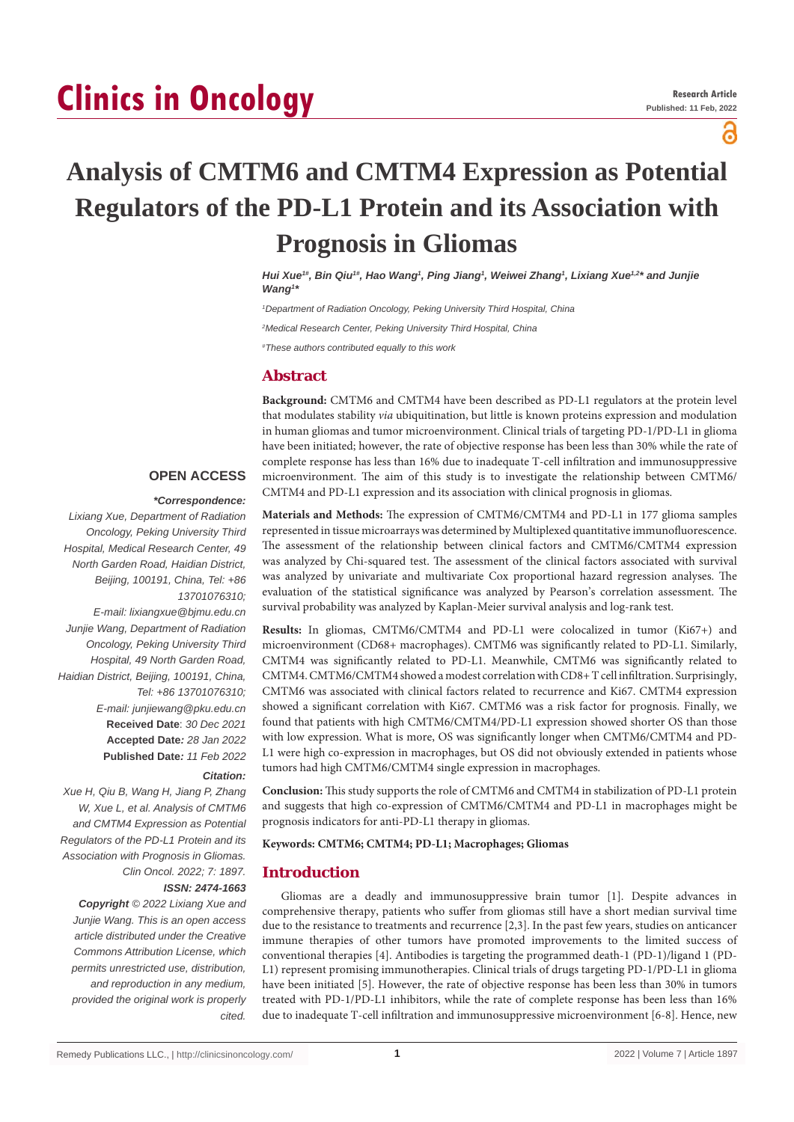# **Clinics in Oncology**

ဥ

## **Analysis of CMTM6 and CMTM4 Expression as Potential Regulators of the PD-L1 Protein and its Association with Prognosis in Gliomas**

*Hui Xue<sup>t#</sup>, Bin Qiu<sup>1#</sup>, Hao Wang<sup>1</sup>, Ping Jiang<sup>1</sup>, Weiwei Zhang<sup>1</sup>, Lixiang Xue<sup>1,2\*</sup> and Junjie Wang1 \**

*1 Department of Radiation Oncology, Peking University Third Hospital, China 2 Medical Research Center, Peking University Third Hospital, China*

*# These authors contributed equally to this work*

## **Abstract**

**Background:** CMTM6 and CMTM4 have been described as PD-L1 regulators at the protein level that modulates stability *via* ubiquitination, but little is known proteins expression and modulation in human gliomas and tumor microenvironment. Clinical trials of targeting PD-1/PD-L1 in glioma have been initiated; however, the rate of objective response has been less than 30% while the rate of complete response has less than 16% due to inadequate T-cell infiltration and immunosuppressive microenvironment. The aim of this study is to investigate the relationship between CMTM6/ CMTM4 and PD-L1 expression and its association with clinical prognosis in gliomas.

## **OPEN ACCESS**

#### *\*Correspondence:*

*Lixiang Xue, Department of Radiation Oncology, Peking University Third Hospital, Medical Research Center, 49 North Garden Road, Haidian District, Beijing, 100191, China, Tel: +86 13701076310; E-mail: lixiangxue@bjmu.edu.cn Junjie Wang, Department of Radiation* 

*Oncology, Peking University Third Hospital, 49 North Garden Road, Haidian District, Beijing, 100191, China, Tel: +86 13701076310; E-mail: junjiewang@pku.edu.cn* **Received Date**: *30 Dec 2021* **Accepted Date***: 28 Jan 2022* **Published Date***: 11 Feb 2022*

*Citation:* 

*Xue H, Qiu B, Wang H, Jiang P, Zhang W, Xue L, et al. Analysis of CMTM6 and CMTM4 Expression as Potential Regulators of the PD-L1 Protein and its Association with Prognosis in Gliomas. Clin Oncol. 2022; 7: 1897.*

*ISSN: 2474-1663*

*Copyright © 2022 Lixiang Xue and Junjie Wang. This is an open access article distributed under the Creative Commons Attribution License, which permits unrestricted use, distribution, and reproduction in any medium, provided the original work is properly cited.*

**Materials and Methods:** The expression of CMTM6/CMTM4 and PD-L1 in 177 glioma samples represented in tissue microarrays was determined by Multiplexed quantitative immunofluorescence. The assessment of the relationship between clinical factors and CMTM6/CMTM4 expression was analyzed by Chi-squared test. The assessment of the clinical factors associated with survival was analyzed by univariate and multivariate Cox proportional hazard regression analyses. The evaluation of the statistical significance was analyzed by Pearson's correlation assessment. The survival probability was analyzed by Kaplan-Meier survival analysis and log-rank test.

**Results:** In gliomas, CMTM6/CMTM4 and PD-L1 were colocalized in tumor (Ki67+) and microenvironment (CD68+ macrophages). CMTM6 was significantly related to PD-L1. Similarly, CMTM4 was significantly related to PD-L1. Meanwhile, CMTM6 was significantly related to CMTM4. CMTM6/CMTM4 showed a modest correlation with CD8+ T cell infiltration. Surprisingly, CMTM6 was associated with clinical factors related to recurrence and Ki67. CMTM4 expression showed a significant correlation with Ki67. CMTM6 was a risk factor for prognosis. Finally, we found that patients with high CMTM6/CMTM4/PD-L1 expression showed shorter OS than those with low expression. What is more, OS was significantly longer when CMTM6/CMTM4 and PD-L1 were high co-expression in macrophages, but OS did not obviously extended in patients whose tumors had high CMTM6/CMTM4 single expression in macrophages.

**Conclusion:** This study supports the role of CMTM6 and CMTM4 in stabilization of PD-L1 protein and suggests that high co-expression of CMTM6/CMTM4 and PD-L1 in macrophages might be prognosis indicators for anti-PD-L1 therapy in gliomas.

**Keywords: CMTM6; CMTM4; PD-L1; Macrophages; Gliomas**

## **Introduction**

Gliomas are a deadly and immunosuppressive brain tumor [1]. Despite advances in comprehensive therapy, patients who suffer from gliomas still have a short median survival time due to the resistance to treatments and recurrence [2,3]. In the past few years, studies on anticancer immune therapies of other tumors have promoted improvements to the limited success of conventional therapies [4]. Antibodies is targeting the programmed death-1 (PD-1)/ligand 1 (PD-L1) represent promising immunotherapies. Clinical trials of drugs targeting PD-1/PD-L1 in glioma have been initiated [5]. However, the rate of objective response has been less than 30% in tumors treated with PD-1/PD-L1 inhibitors, while the rate of complete response has been less than 16% due to inadequate T-cell infiltration and immunosuppressive microenvironment [6-8]. Hence, new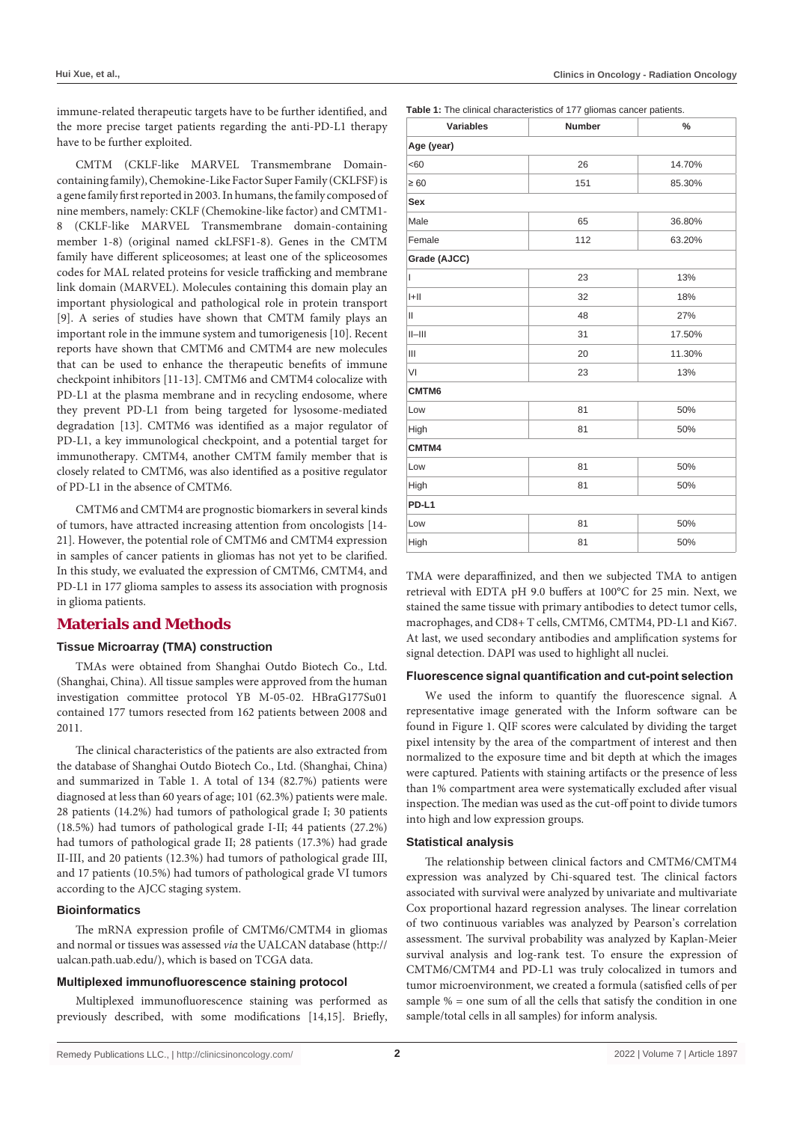immune-related therapeutic targets have to be further identified, and the more precise target patients regarding the anti-PD-L1 therapy have to be further exploited.

CMTM (CKLF-like MARVEL Transmembrane Domaincontaining family), Chemokine-Like Factor Super Family (CKLFSF) is a gene family first reported in 2003. In humans, the family composed of nine members, namely: CKLF (Chemokine-like factor) and CMTM1- 8 (CKLF-like MARVEL Transmembrane domain-containing member 1-8) (original named ckLFSF1-8). Genes in the CMTM family have different spliceosomes; at least one of the spliceosomes codes for MAL related proteins for vesicle trafficking and membrane link domain (MARVEL). Molecules containing this domain play an important physiological and pathological role in protein transport [9]. A series of studies have shown that CMTM family plays an important role in the immune system and tumorigenesis [10]. Recent reports have shown that CMTM6 and CMTM4 are new molecules that can be used to enhance the therapeutic benefits of immune checkpoint inhibitors [11-13]. CMTM6 and CMTM4 colocalize with PD-L1 at the plasma membrane and in recycling endosome, where they prevent PD-L1 from being targeted for lysosome-mediated degradation [13]. CMTM6 was identified as a major regulator of PD-L1, a key immunological checkpoint, and a potential target for immunotherapy. CMTM4, another CMTM family member that is closely related to CMTM6, was also identified as a positive regulator of PD-L1 in the absence of CMTM6.

CMTM6 and CMTM4 are prognostic biomarkers in several kinds of tumors, have attracted increasing attention from oncologists [14- 21]. However, the potential role of CMTM6 and CMTM4 expression in samples of cancer patients in gliomas has not yet to be clarified. In this study, we evaluated the expression of CMTM6, CMTM4, and PD-L1 in 177 glioma samples to assess its association with prognosis in glioma patients.

## **Materials and Methods**

## **Tissue Microarray (TMA) construction**

TMAs were obtained from Shanghai Outdo Biotech Co., Ltd. (Shanghai, China). All tissue samples were approved from the human investigation committee protocol YB M-05-02. HBraG177Su01 contained 177 tumors resected from 162 patients between 2008 and 2011.

The clinical characteristics of the patients are also extracted from the database of Shanghai Outdo Biotech Co., Ltd. (Shanghai, China) and summarized in Table 1. A total of 134 (82.7%) patients were diagnosed at less than 60 years of age; 101 (62.3%) patients were male. 28 patients (14.2%) had tumors of pathological grade I; 30 patients (18.5%) had tumors of pathological grade I-II; 44 patients (27.2%) had tumors of pathological grade II; 28 patients (17.3%) had grade II-III, and 20 patients (12.3%) had tumors of pathological grade III, and 17 patients (10.5%) had tumors of pathological grade VI tumors according to the AJCC staging system.

## **Bioinformatics**

The mRNA expression profile of CMTM6/CMTM4 in gliomas and normal or tissues was assessed *via* the UALCAN database (http:// ualcan.path.uab.edu/), which is based on TCGA data.

## **Multiplexed immunofluorescence staining protocol**

Multiplexed immunofluorescence staining was performed as previously described, with some modifications [14,15]. Briefly, **Table 1:** The clinical characteristics of 177 gliomas cancer patients.

| <b>Variables</b> | <b>Number</b> | $\%$   |  |  |  |  |  |
|------------------|---------------|--------|--|--|--|--|--|
| Age (year)       |               |        |  |  |  |  |  |
| <60              | 26            | 14.70% |  |  |  |  |  |
| $\geq 60$        | 151           | 85.30% |  |  |  |  |  |
| Sex              |               |        |  |  |  |  |  |
| Male             | 65            | 36.80% |  |  |  |  |  |
| Female           | 112           | 63.20% |  |  |  |  |  |
| Grade (AJCC)     |               |        |  |  |  |  |  |
| L                | 23            | 13%    |  |  |  |  |  |
| H                | 32            | 18%    |  |  |  |  |  |
| Ш                | 48            | 27%    |  |  |  |  |  |
| $  -   $         | 31            | 17.50% |  |  |  |  |  |
| $\mathbf{III}$   | 20            | 11.30% |  |  |  |  |  |
| VI               | 23            | 13%    |  |  |  |  |  |
| CMTM6            |               |        |  |  |  |  |  |
| Low              | 81            | 50%    |  |  |  |  |  |
| High             | 81            | 50%    |  |  |  |  |  |
| CMTM4            |               |        |  |  |  |  |  |
| Low              | 81            | 50%    |  |  |  |  |  |
| High             | 81            | 50%    |  |  |  |  |  |
| PD-L1            |               |        |  |  |  |  |  |
| Low              | 81            | 50%    |  |  |  |  |  |
| High             | 81            | 50%    |  |  |  |  |  |

TMA were deparaffinized, and then we subjected TMA to antigen retrieval with EDTA pH 9.0 buffers at 100°C for 25 min. Next, we stained the same tissue with primary antibodies to detect tumor cells, macrophages, and CD8+ T cells, CMTM6, CMTM4, PD-L1 and Ki67. At last, we used secondary antibodies and amplification systems for signal detection. DAPI was used to highlight all nuclei.

## **Fluorescence signal quantification and cut-point selection**

We used the inform to quantify the fluorescence signal. A representative image generated with the Inform software can be found in Figure 1. QIF scores were calculated by dividing the target pixel intensity by the area of the compartment of interest and then normalized to the exposure time and bit depth at which the images were captured. Patients with staining artifacts or the presence of less than 1% compartment area were systematically excluded after visual inspection. The median was used as the cut-off point to divide tumors into high and low expression groups.

## **Statistical analysis**

The relationship between clinical factors and CMTM6/CMTM4 expression was analyzed by Chi-squared test. The clinical factors associated with survival were analyzed by univariate and multivariate Cox proportional hazard regression analyses. The linear correlation of two continuous variables was analyzed by Pearson's correlation assessment. The survival probability was analyzed by Kaplan-Meier survival analysis and log-rank test. To ensure the expression of CMTM6/CMTM4 and PD-L1 was truly colocalized in tumors and tumor microenvironment, we created a formula (satisfied cells of per sample  $% =$  one sum of all the cells that satisfy the condition in one sample/total cells in all samples) for inform analysis.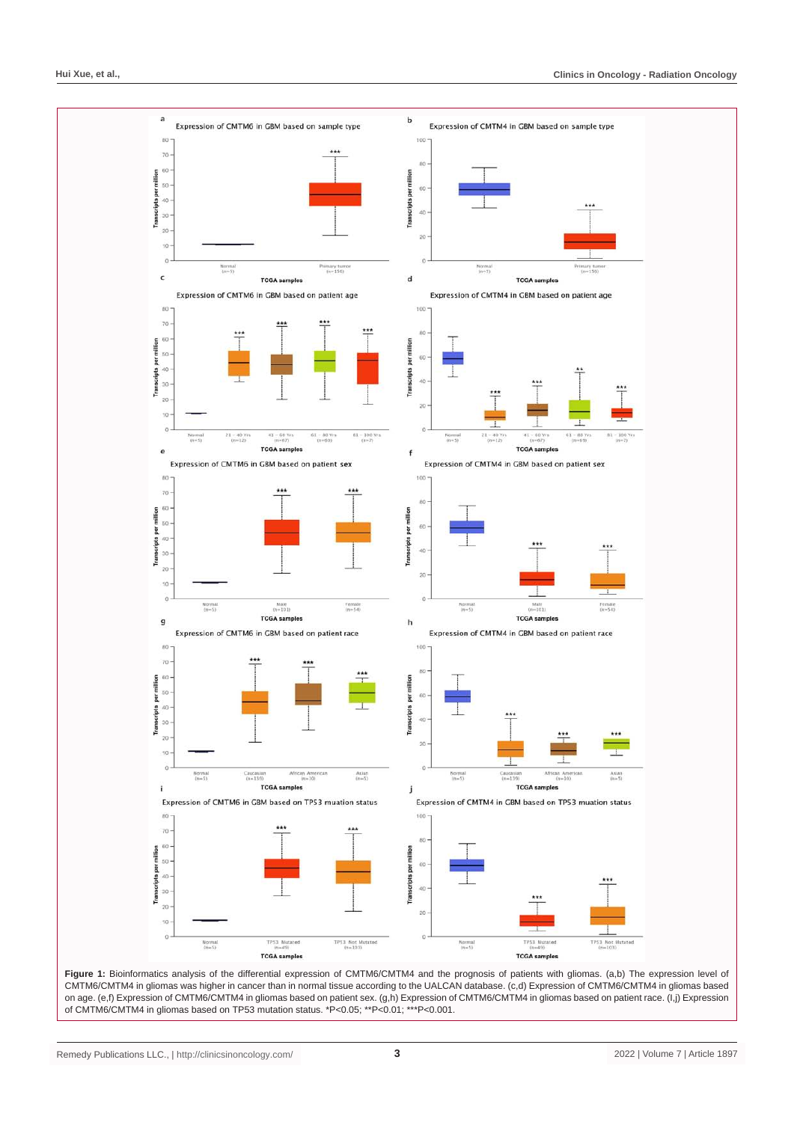

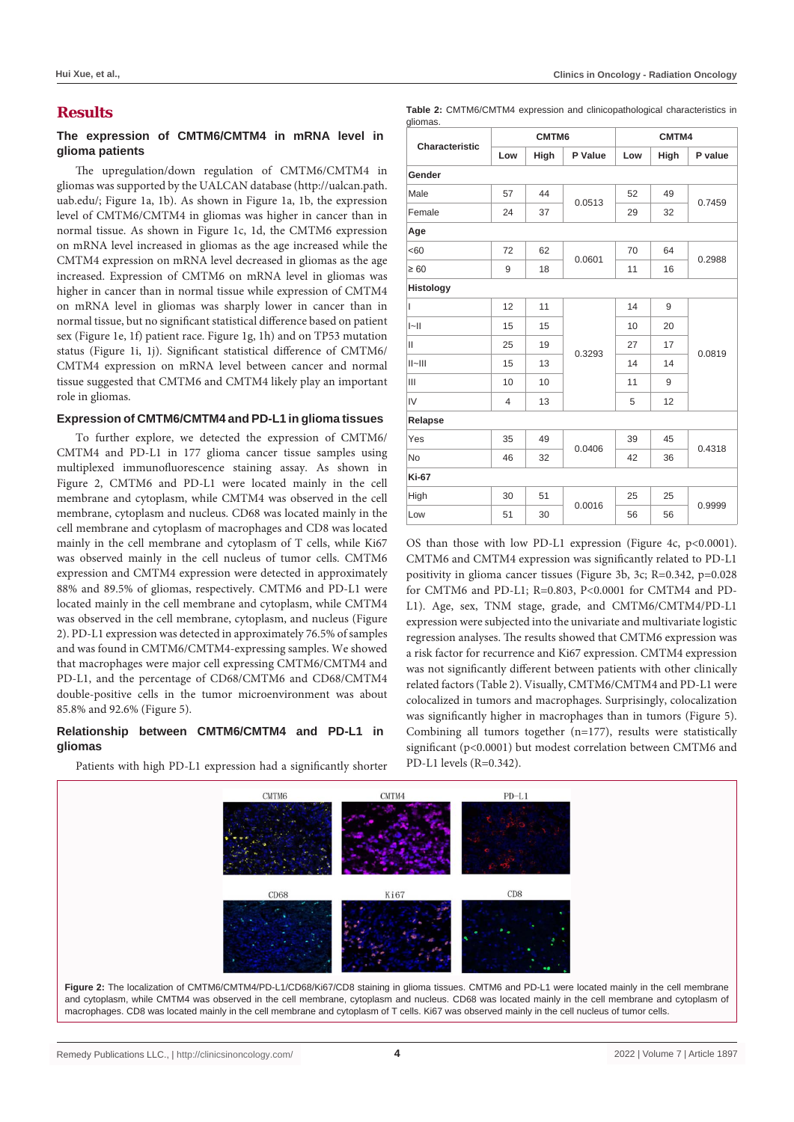## **Results**

## **The expression of CMTM6/CMTM4 in mRNA level in glioma patients**

The upregulation/down regulation of CMTM6/CMTM4 in gliomas was supported by the UALCAN database (http://ualcan.path. uab.edu/; Figure 1a, 1b). As shown in Figure 1a, 1b, the expression level of CMTM6/CMTM4 in gliomas was higher in cancer than in normal tissue. As shown in Figure 1c, 1d, the CMTM6 expression on mRNA level increased in gliomas as the age increased while the CMTM4 expression on mRNA level decreased in gliomas as the age increased. Expression of CMTM6 on mRNA level in gliomas was higher in cancer than in normal tissue while expression of CMTM4 on mRNA level in gliomas was sharply lower in cancer than in normal tissue, but no significant statistical difference based on patient sex (Figure 1e, 1f) patient race. Figure 1g, 1h) and on TP53 mutation status (Figure 1i, 1j). Significant statistical difference of CMTM6/ CMTM4 expression on mRNA level between cancer and normal tissue suggested that CMTM6 and CMTM4 likely play an important role in gliomas.

## **Expression of CMTM6/CMTM4 and PD-L1 in glioma tissues**

To further explore, we detected the expression of CMTM6/ CMTM4 and PD-L1 in 177 glioma cancer tissue samples using multiplexed immunofluorescence staining assay. As shown in Figure 2, CMTM6 and PD-L1 were located mainly in the cell membrane and cytoplasm, while CMTM4 was observed in the cell membrane, cytoplasm and nucleus. CD68 was located mainly in the cell membrane and cytoplasm of macrophages and CD8 was located mainly in the cell membrane and cytoplasm of T cells, while Ki67 was observed mainly in the cell nucleus of tumor cells. CMTM6 expression and CMTM4 expression were detected in approximately 88% and 89.5% of gliomas, respectively. CMTM6 and PD-L1 were located mainly in the cell membrane and cytoplasm, while CMTM4 was observed in the cell membrane, cytoplasm, and nucleus (Figure 2). PD-L1 expression was detected in approximately 76.5% of samples and was found in CMTM6/CMTM4-expressing samples. We showed that macrophages were major cell expressing CMTM6/CMTM4 and PD-L1, and the percentage of CD68/CMTM6 and CD68/CMTM4 double-positive cells in the tumor microenvironment was about 85.8% and 92.6% (Figure 5).

## **Relationship between CMTM6/CMTM4 and PD-L1 in gliomas**

Patients with high PD-L1 expression had a significantly shorter

**Table 2:** CMTM6/CMTM4 expression and clinicopathological characteristics in

| Characteristic | CMTM6          |      |         | CMTM4 |      |         |
|----------------|----------------|------|---------|-------|------|---------|
|                | Low            | High | P Value | Low   | High | P value |
| Gender         |                |      |         |       |      |         |
| Male           | 57             | 44   | 0.0513  | 52    | 49   | 0.7459  |
| Female         | 24             | 37   |         | 29    | 32   |         |
| Age            |                |      |         |       |      |         |
| <60            | 72             | 62   | 0.0601  | 70    | 64   | 0.2988  |
| $\geq 60$      | 9              | 18   |         | 11    | 16   |         |
| Histology      |                |      |         |       |      |         |
| L              | 12             | 11   | 0.3293  | 14    | 9    | 0.0819  |
| $\ $           | 15             | 15   |         | 10    | 20   |         |
| Ш              | 25             | 19   |         | 27    | 17   |         |
| $  -   $       | 15             | 13   |         | 14    | 14   |         |
| III            | 10             | 10   |         | 11    | 9    |         |
| IV             | $\overline{4}$ | 13   |         | 5     | 12   |         |
| Relapse        |                |      |         |       |      |         |
| Yes            | 35             | 49   | 0.0406  | 39    | 45   | 0.4318  |
| <b>No</b>      | 46             | 32   |         | 42    | 36   |         |
| <b>Ki-67</b>   |                |      |         |       |      |         |
| High           | 30             | 51   | 0.0016  | 25    | 25   | 0.9999  |
| Low            | 51             | 30   |         | 56    | 56   |         |

OS than those with low PD-L1 expression (Figure 4c, p<0.0001). CMTM6 and CMTM4 expression was significantly related to PD-L1 positivity in glioma cancer tissues (Figure 3b, 3c; R=0.342, p=0.028 for CMTM6 and PD-L1; R=0.803, P<0.0001 for CMTM4 and PD-L1). Age, sex, TNM stage, grade, and CMTM6/CMTM4/PD-L1 expression were subjected into the univariate and multivariate logistic regression analyses. The results showed that CMTM6 expression was a risk factor for recurrence and Ki67 expression. CMTM4 expression was not significantly different between patients with other clinically related factors (Table 2). Visually, CMTM6/CMTM4 and PD-L1 were colocalized in tumors and macrophages. Surprisingly, colocalization was significantly higher in macrophages than in tumors (Figure 5). Combining all tumors together (n=177), results were statistically significant (p<0.0001) but modest correlation between CMTM6 and PD-L1 levels (R=0.342).

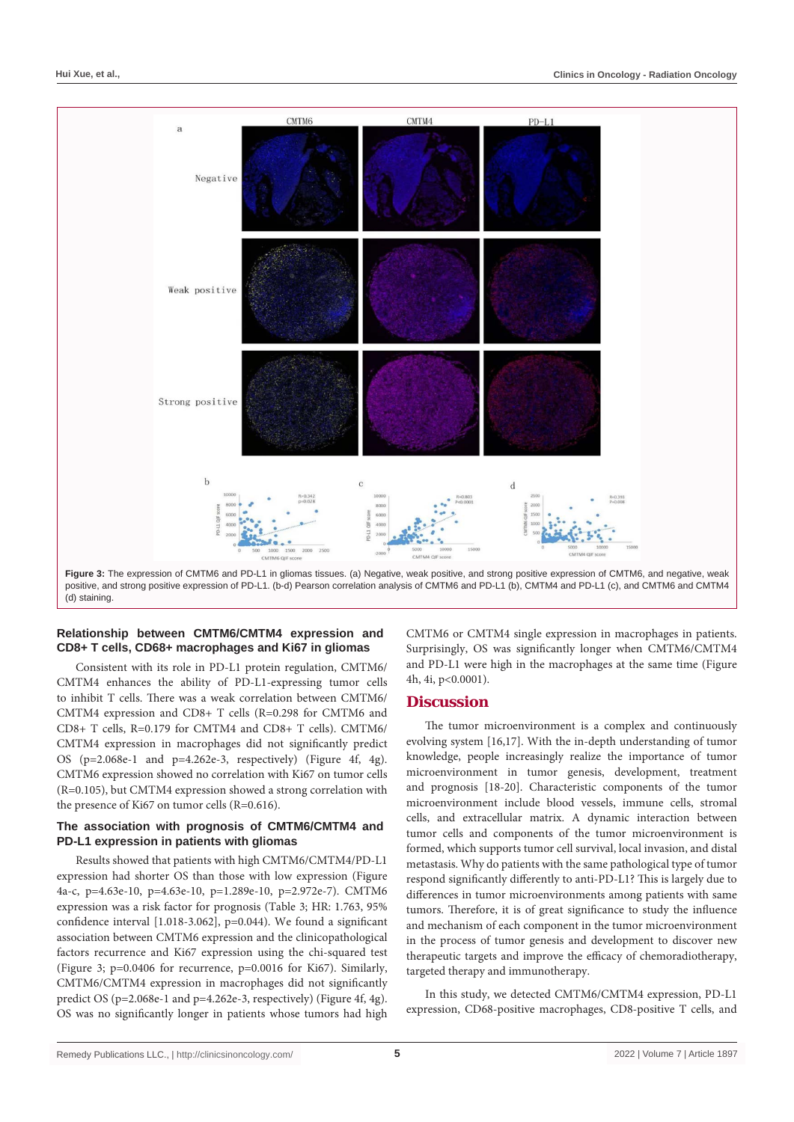

## **Relationship between CMTM6/CMTM4 expression and CD8+ T cells, CD68+ macrophages and Ki67 in gliomas**

Consistent with its role in PD-L1 protein regulation, CMTM6/ CMTM4 enhances the ability of PD-L1-expressing tumor cells to inhibit T cells. There was a weak correlation between CMTM6/ CMTM4 expression and CD8+ T cells (R=0.298 for CMTM6 and CD8+ T cells, R=0.179 for CMTM4 and CD8+ T cells). CMTM6/ CMTM4 expression in macrophages did not significantly predict OS (p=2.068e-1 and p=4.262e-3, respectively) (Figure 4f, 4g). CMTM6 expression showed no correlation with Ki67 on tumor cells (R=0.105), but CMTM4 expression showed a strong correlation with the presence of Ki67 on tumor cells (R=0.616).

## **The association with prognosis of CMTM6/CMTM4 and PD-L1 expression in patients with gliomas**

Results showed that patients with high CMTM6/CMTM4/PD-L1 expression had shorter OS than those with low expression (Figure 4a-c, p=4.63e-10, p=4.63e-10, p=1.289e-10, p=2.972e-7). CMTM6 expression was a risk factor for prognosis (Table 3; HR: 1.763, 95% confidence interval [1.018-3.062], p=0.044). We found a significant association between CMTM6 expression and the clinicopathological factors recurrence and Ki67 expression using the chi-squared test (Figure 3; p=0.0406 for recurrence, p=0.0016 for Ki67). Similarly, CMTM6/CMTM4 expression in macrophages did not significantly predict OS (p=2.068e-1 and p=4.262e-3, respectively) (Figure 4f, 4g). OS was no significantly longer in patients whose tumors had high

CMTM6 or CMTM4 single expression in macrophages in patients. Surprisingly, OS was significantly longer when CMTM6/CMTM4 and PD-L1 were high in the macrophages at the same time (Figure 4h, 4i, p<0.0001).

## **Discussion**

The tumor microenvironment is a complex and continuously evolving system [16,17]. With the in-depth understanding of tumor knowledge, people increasingly realize the importance of tumor microenvironment in tumor genesis, development, treatment and prognosis [18-20]. Characteristic components of the tumor microenvironment include blood vessels, immune cells, stromal cells, and extracellular matrix. A dynamic interaction between tumor cells and components of the tumor microenvironment is formed, which supports tumor cell survival, local invasion, and distal metastasis. Why do patients with the same pathological type of tumor respond significantly differently to anti-PD-L1? This is largely due to differences in tumor microenvironments among patients with same tumors. Therefore, it is of great significance to study the influence and mechanism of each component in the tumor microenvironment in the process of tumor genesis and development to discover new therapeutic targets and improve the efficacy of chemoradiotherapy, targeted therapy and immunotherapy.

In this study, we detected CMTM6/CMTM4 expression, PD-L1 expression, CD68-positive macrophages, CD8-positive T cells, and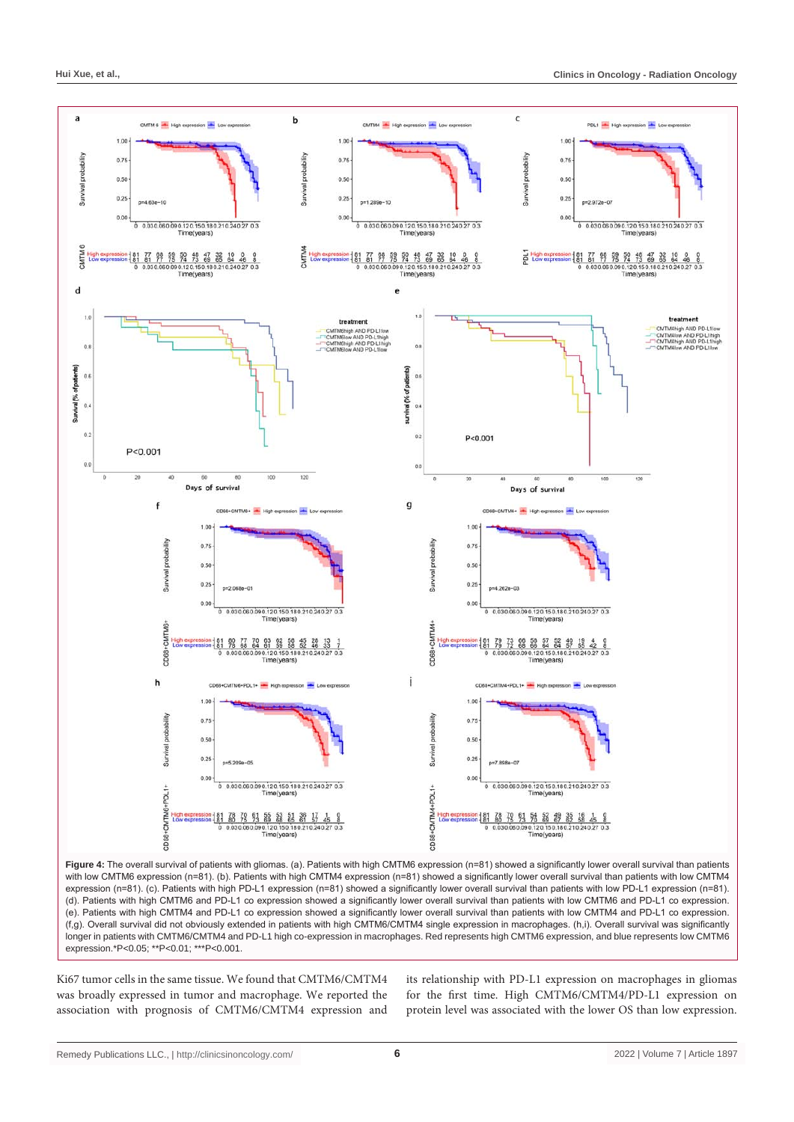

**Figure 4:** The overall survival of patients with gliomas. (a). Patients with high CMTM6 expression (n=81) showed a significantly lower overall survival than patients with low CMTM6 expression (n=81). (b). Patients with high CMTM4 expression (n=81) showed a significantly lower overall survival than patients with low CMTM4 expression (n=81). (c). Patients with high PD-L1 expression (n=81) showed a significantly lower overall survival than patients with low PD-L1 expression (n=81). (d). Patients with high CMTM6 and PD-L1 co expression showed a significantly lower overall survival than patients with low CMTM6 and PD-L1 co expression. (e). Patients with high CMTM4 and PD-L1 co expression showed a significantly lower overall survival than patients with low CMTM4 and PD-L1 co expression. (f,g). Overall survival did not obviously extended in patients with high CMTM6/CMTM4 single expression in macrophages. (h,i). Overall survival was significantly longer in patients with CMTM6/CMTM4 and PD-L1 high co-expression in macrophages. Red represents high CMTM6 expression, and blue represents low CMTM6 expression.\*P<0.05; \*\*P<0.01; \*\*\*P<0.001.

Ki67 tumor cells in the same tissue. We found that CMTM6/CMTM4 was broadly expressed in tumor and macrophage. We reported the association with prognosis of CMTM6/CMTM4 expression and

its relationship with PD-L1 expression on macrophages in gliomas for the first time. High CMTM6/CMTM4/PD-L1 expression on protein level was associated with the lower OS than low expression.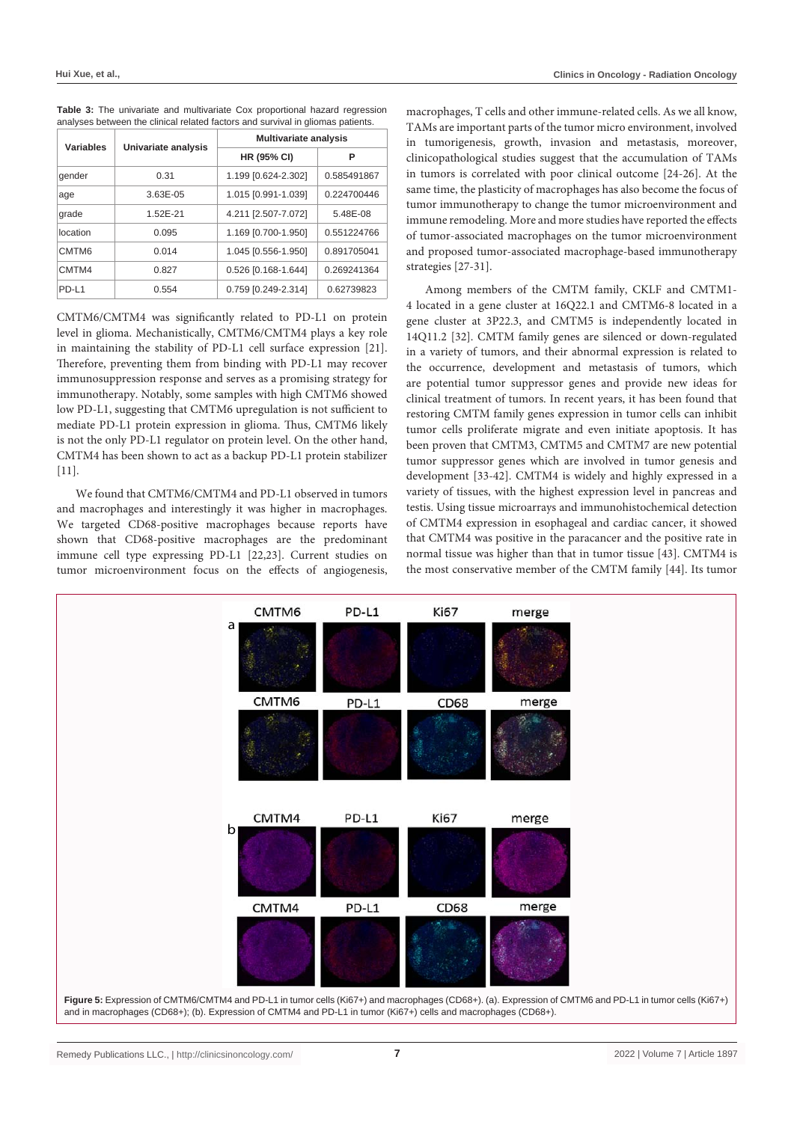| Variables |                     | <b>Multivariate analysis</b> |             |  |  |
|-----------|---------------------|------------------------------|-------------|--|--|
|           | Univariate analysis | <b>HR (95% CI)</b>           | Р           |  |  |
| gender    | 0.31                | 1.199 [0.624-2.302]          | 0.585491867 |  |  |
| age       | 3.63E-05            | 1.015 [0.991-1.039]          | 0.224700446 |  |  |
| grade     | 1.52E-21            | 4.211 [2.507-7.072]          | 5.48E-08    |  |  |
| location  | 0.095               | 1.169 [0.700-1.950]          | 0.551224766 |  |  |
| CMTM6     | 0.014               | 1.045 [0.556-1.950]          | 0.891705041 |  |  |
| CMTM4     | 0.827               | 0.526 [0.168-1.644]          | 0.269241364 |  |  |
| PD-L1     | 0.554               | 0.759 [0.249-2.314]          | 0.62739823  |  |  |

**Table 3:** The univariate and multivariate Cox proportional hazard regression analyses between the clinical related factors and survival in gliomas patients.

CMTM6/CMTM4 was significantly related to PD-L1 on protein level in glioma. Mechanistically, CMTM6/CMTM4 plays a key role in maintaining the stability of PD-L1 cell surface expression [21]. Therefore, preventing them from binding with PD-L1 may recover immunosuppression response and serves as a promising strategy for immunotherapy. Notably, some samples with high CMTM6 showed low PD-L1, suggesting that CMTM6 upregulation is not sufficient to mediate PD-L1 protein expression in glioma. Thus, CMTM6 likely is not the only PD-L1 regulator on protein level. On the other hand, CMTM4 has been shown to act as a backup PD-L1 protein stabilizer [11].

We found that CMTM6/CMTM4 and PD-L1 observed in tumors and macrophages and interestingly it was higher in macrophages. We targeted CD68-positive macrophages because reports have shown that CD68-positive macrophages are the predominant immune cell type expressing PD-L1 [22,23]. Current studies on tumor microenvironment focus on the effects of angiogenesis,

macrophages, T cells and other immune-related cells. As we all know, TAMs are important parts of the tumor micro environment, involved in tumorigenesis, growth, invasion and metastasis, moreover, clinicopathological studies suggest that the accumulation of TAMs in tumors is correlated with poor clinical outcome [24-26]. At the same time, the plasticity of macrophages has also become the focus of tumor immunotherapy to change the tumor microenvironment and immune remodeling. More and more studies have reported the effects of tumor-associated macrophages on the tumor microenvironment and proposed tumor-associated macrophage-based immunotherapy strategies [27-31].

Among members of the CMTM family, CKLF and CMTM1- 4 located in a gene cluster at 16Q22.1 and CMTM6-8 located in a gene cluster at 3P22.3, and CMTM5 is independently located in 14Q11.2 [32]. CMTM family genes are silenced or down-regulated in a variety of tumors, and their abnormal expression is related to the occurrence, development and metastasis of tumors, which are potential tumor suppressor genes and provide new ideas for clinical treatment of tumors. In recent years, it has been found that restoring CMTM family genes expression in tumor cells can inhibit tumor cells proliferate migrate and even initiate apoptosis. It has been proven that CMTM3, CMTM5 and CMTM7 are new potential tumor suppressor genes which are involved in tumor genesis and development [33-42]. CMTM4 is widely and highly expressed in a variety of tissues, with the highest expression level in pancreas and testis. Using tissue microarrays and immunohistochemical detection of CMTM4 expression in esophageal and cardiac cancer, it showed that CMTM4 was positive in the paracancer and the positive rate in normal tissue was higher than that in tumor tissue [43]. CMTM4 is the most conservative member of the CMTM family [44]. Its tumor

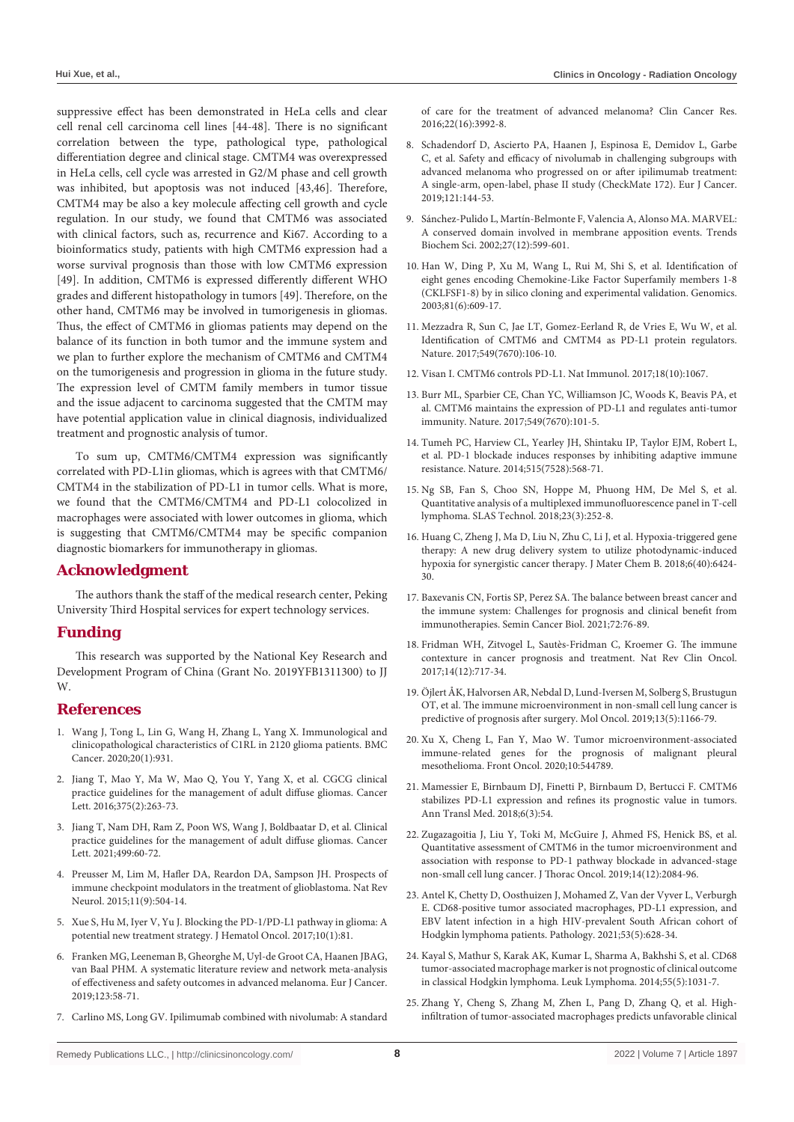suppressive effect has been demonstrated in HeLa cells and clear cell renal cell carcinoma cell lines [44-48]. There is no significant correlation between the type, pathological type, pathological differentiation degree and clinical stage. CMTM4 was overexpressed in HeLa cells, cell cycle was arrested in G2/M phase and cell growth was inhibited, but apoptosis was not induced [43,46]. Therefore, CMTM4 may be also a key molecule affecting cell growth and cycle regulation. In our study, we found that CMTM6 was associated with clinical factors, such as, recurrence and Ki67. According to a bioinformatics study, patients with high CMTM6 expression had a worse survival prognosis than those with low CMTM6 expression [49]. In addition, CMTM6 is expressed differently different WHO grades and different histopathology in tumors [49]. Therefore, on the other hand, CMTM6 may be involved in tumorigenesis in gliomas. Thus, the effect of CMTM6 in gliomas patients may depend on the balance of its function in both tumor and the immune system and we plan to further explore the mechanism of CMTM6 and CMTM4 on the tumorigenesis and progression in glioma in the future study. The expression level of CMTM family members in tumor tissue and the issue adjacent to carcinoma suggested that the CMTM may have potential application value in clinical diagnosis, individualized treatment and prognostic analysis of tumor.

To sum up, CMTM6/CMTM4 expression was significantly correlated with PD-L1in gliomas, which is agrees with that CMTM6/ CMTM4 in the stabilization of PD-L1 in tumor cells. What is more, we found that the CMTM6/CMTM4 and PD-L1 colocolized in macrophages were associated with lower outcomes in glioma, which is suggesting that CMTM6/CMTM4 may be specific companion diagnostic biomarkers for immunotherapy in gliomas.

## **Acknowledgment**

The authors thank the staff of the medical research center, Peking University Third Hospital services for expert technology services.

## **Funding**

This research was supported by the National Key Research and Development Program of China (Grant No. 2019YFB1311300) to JJ W.

## **References**

- 1. [Wang J, Tong L, Lin G, Wang H, Zhang L, Yang X. Immunological and](https://pubmed.ncbi.nlm.nih.gov/32993564/)  [clinicopathological characteristics of C1RL in 2120 glioma patients. BMC](https://pubmed.ncbi.nlm.nih.gov/32993564/)  [Cancer. 2020;20\(1\):931.](https://pubmed.ncbi.nlm.nih.gov/32993564/)
- 2. [Jiang T, Mao Y, Ma W, Mao Q, You Y, Yang X, et al. CGCG clinical](https://pubmed.ncbi.nlm.nih.gov/26966000/)  [practice guidelines for the management of adult diffuse gliomas. Cancer](https://pubmed.ncbi.nlm.nih.gov/26966000/)  [Lett. 2016;375\(2\):263-73.](https://pubmed.ncbi.nlm.nih.gov/26966000/)
- 3. [Jiang T, Nam DH, Ram Z, Poon WS, Wang J, Boldbaatar D, et al. Clinical](https://pubmed.ncbi.nlm.nih.gov/33166616/)  [practice guidelines for the management of adult diffuse gliomas. Cancer](https://pubmed.ncbi.nlm.nih.gov/33166616/)  [Lett. 2021;499:60-72.](https://pubmed.ncbi.nlm.nih.gov/33166616/)
- 4. [Preusser M, Lim M, Hafler DA, Reardon DA, Sampson JH. Prospects of](https://pubmed.ncbi.nlm.nih.gov/26260659/)  [immune checkpoint modulators in the treatment of glioblastoma. Nat Rev](https://pubmed.ncbi.nlm.nih.gov/26260659/)  [Neurol. 2015;11\(9\):504-14.](https://pubmed.ncbi.nlm.nih.gov/26260659/)
- 5. [Xue S, Hu M, Iyer V, Yu J. Blocking the PD-1/PD-L1 pathway in glioma: A](https://pubmed.ncbi.nlm.nih.gov/28388955/)  [potential new treatment strategy. J Hematol Oncol. 2017;10\(1\):81.](https://pubmed.ncbi.nlm.nih.gov/28388955/)
- 6. [Franken MG, Leeneman B, Gheorghe M, Uyl-de Groot CA, Haanen JBAG,](https://pubmed.ncbi.nlm.nih.gov/31670077/)  [van Baal PHM. A systematic literature review and network meta-analysis](https://pubmed.ncbi.nlm.nih.gov/31670077/)  [of effectiveness and safety outcomes in advanced melanoma. Eur J Cancer.](https://pubmed.ncbi.nlm.nih.gov/31670077/)  [2019;123:58-71.](https://pubmed.ncbi.nlm.nih.gov/31670077/)
- 7. [Carlino MS, Long GV. Ipilimumab combined with nivolumab: A standard](https://pubmed.ncbi.nlm.nih.gov/27340279/)

[of care for the treatment of advanced melanoma? Clin Cancer Res.](https://pubmed.ncbi.nlm.nih.gov/27340279/)  [2016;22\(16\):3992-8.](https://pubmed.ncbi.nlm.nih.gov/27340279/)

- 8. [Schadendorf D, Ascierto PA, Haanen J, Espinosa E, Demidov L, Garbe](https://pubmed.ncbi.nlm.nih.gov/31581055/)  [C, et al. Safety and efficacy of nivolumab in challenging subgroups with](https://pubmed.ncbi.nlm.nih.gov/31581055/)  [advanced melanoma who progressed on or after ipilimumab treatment:](https://pubmed.ncbi.nlm.nih.gov/31581055/)  [A single-arm, open-label, phase II study \(CheckMate 172\). Eur J Cancer.](https://pubmed.ncbi.nlm.nih.gov/31581055/)  [2019;121:144-53.](https://pubmed.ncbi.nlm.nih.gov/31581055/)
- 9. [Sánchez-Pulido L, Martín-Belmonte F, Valencia A, Alonso MA. MARVEL:](https://pubmed.ncbi.nlm.nih.gov/12468223/)  [A conserved domain involved in membrane apposition events. Trends](https://pubmed.ncbi.nlm.nih.gov/12468223/)  [Biochem Sci. 2002;27\(12\):599-601.](https://pubmed.ncbi.nlm.nih.gov/12468223/)
- 10. [Han W, Ding P, Xu M, Wang L, Rui M, Shi S, et al. Identification of](https://pubmed.ncbi.nlm.nih.gov/12782130/)  [eight genes encoding Chemokine-Like Factor Superfamily members 1-8](https://pubmed.ncbi.nlm.nih.gov/12782130/)  [\(CKLFSF1-8\) by in silico cloning and experimental validation. Genomics.](https://pubmed.ncbi.nlm.nih.gov/12782130/)  [2003;81\(6\):609-17.](https://pubmed.ncbi.nlm.nih.gov/12782130/)
- 11. [Mezzadra R, Sun C, Jae LT, Gomez-Eerland R, de Vries E, Wu W, et al.](https://pubmed.ncbi.nlm.nih.gov/28813410/)  [Identification of CMTM6 and CMTM4 as PD-L1 protein regulators.](https://pubmed.ncbi.nlm.nih.gov/28813410/)  [Nature. 2017;549\(7670\):106-10.](https://pubmed.ncbi.nlm.nih.gov/28813410/)
- 12. [Visan I. CMTM6 controls PD-L1. Nat Immunol. 2017;18\(10\):1067.](https://pubmed.ncbi.nlm.nih.gov/28926544/)
- 13. Burr ML, Sparbier CE, Chan YC, Williamson JC, Woods K, Beavis PA, et al. CMTM6 maintains the expression of PD-L1 and regulates anti-tumor immunity. Nature. 2017;549(7670):101-5.
- 14. [Tumeh PC, Harview CL, Yearley JH, Shintaku IP, Taylor EJM, Robert L,](https://pubmed.ncbi.nlm.nih.gov/25428505/)  [et al. PD-1 blockade induces responses by inhibiting adaptive immune](https://pubmed.ncbi.nlm.nih.gov/25428505/)  [resistance. Nature. 2014;515\(7528\):568-71.](https://pubmed.ncbi.nlm.nih.gov/25428505/)
- 15. [Ng SB, Fan S, Choo SN, Hoppe M, Phuong HM, De Mel S, et al.](https://pubmed.ncbi.nlm.nih.gov/29241019/)  [Quantitative analysis of a multiplexed immunofluorescence panel in T-cell](https://pubmed.ncbi.nlm.nih.gov/29241019/)  [lymphoma. SLAS Technol. 2018;23\(3\):252-8.](https://pubmed.ncbi.nlm.nih.gov/29241019/)
- 16. [Huang C, Zheng J, Ma D, Liu N, Zhu C, Li J, et al. Hypoxia-triggered gene](https://pubs.rsc.org/en/content/articlelanding/2018/tb/c8tb01805g)  [therapy: A new drug delivery system to utilize photodynamic-induced](https://pubs.rsc.org/en/content/articlelanding/2018/tb/c8tb01805g)  [hypoxia for synergistic cancer therapy. J Mater Chem B. 2018;6\(40\):6424-](https://pubs.rsc.org/en/content/articlelanding/2018/tb/c8tb01805g) [30.](https://pubs.rsc.org/en/content/articlelanding/2018/tb/c8tb01805g)
- 17. [Baxevanis CN, Fortis SP, Perez SA. The balance between breast cancer and](https://pubmed.ncbi.nlm.nih.gov/31881337/)  [the immune system: Challenges for prognosis and clinical benefit from](https://pubmed.ncbi.nlm.nih.gov/31881337/)  [immunotherapies. Semin Cancer Biol. 2021;72:76-89.](https://pubmed.ncbi.nlm.nih.gov/31881337/)
- 18. [Fridman WH, Zitvogel L, Sautès-Fridman C, Kroemer G. The immune](https://pubmed.ncbi.nlm.nih.gov/28741618/)  [contexture in cancer prognosis and treatment. Nat Rev Clin Oncol.](https://pubmed.ncbi.nlm.nih.gov/28741618/)  [2017;14\(12\):717-34.](https://pubmed.ncbi.nlm.nih.gov/28741618/)
- 19. [Öjlert ÅK, Halvorsen AR, Nebdal D, Lund-Iversen M, Solberg S, Brustugun](https://pubmed.ncbi.nlm.nih.gov/30854794/)  [OT, et al. The immune microenvironment in non-small cell lung cancer is](https://pubmed.ncbi.nlm.nih.gov/30854794/)  [predictive of prognosis after surgery. Mol Oncol. 2019;13\(5\):1166-79.](https://pubmed.ncbi.nlm.nih.gov/30854794/)
- 20. [Xu X, Cheng L, Fan Y, Mao W. Tumor microenvironment-associated](https://pubmed.ncbi.nlm.nih.gov/33042835/)  [immune-related genes for the prognosis of malignant pleural](https://pubmed.ncbi.nlm.nih.gov/33042835/)  [mesothelioma. Front Oncol. 2020;10:544789.](https://pubmed.ncbi.nlm.nih.gov/33042835/)
- 21. [Mamessier E, Birnbaum DJ, Finetti P, Birnbaum D, Bertucci F. CMTM6](https://www.ncbi.nlm.nih.gov/pmc/articles/PMC5879522/)  [stabilizes PD-L1 expression and refines its prognostic value in tumors.](https://www.ncbi.nlm.nih.gov/pmc/articles/PMC5879522/)  [Ann Transl Med. 2018;6\(3\):54.](https://www.ncbi.nlm.nih.gov/pmc/articles/PMC5879522/)
- 22. [Zugazagoitia J, Liu Y, Toki M, McGuire J, Ahmed FS, Henick BS, et al.](https://pubmed.ncbi.nlm.nih.gov/31605795/)  [Quantitative assessment of CMTM6 in the tumor microenvironment and](https://pubmed.ncbi.nlm.nih.gov/31605795/)  [association with response to PD-1 pathway blockade in advanced-stage](https://pubmed.ncbi.nlm.nih.gov/31605795/)  [non-small cell lung cancer. J Thorac Oncol. 2019;14\(12\):2084-96.](https://pubmed.ncbi.nlm.nih.gov/31605795/)
- 23. [Antel K, Chetty D, Oosthuizen J, Mohamed Z, Van der Vyver L, Verburgh](https://pubmed.ncbi.nlm.nih.gov/33558066/)  [E. CD68-positive tumor associated macrophages, PD-L1 expression, and](https://pubmed.ncbi.nlm.nih.gov/33558066/)  [EBV latent infection in a high HIV-prevalent South African cohort of](https://pubmed.ncbi.nlm.nih.gov/33558066/)  [Hodgkin lymphoma patients. Pathology. 2021;53\(5\):628-34.](https://pubmed.ncbi.nlm.nih.gov/33558066/)
- 24. [Kayal S, Mathur S, Karak AK, Kumar L, Sharma A, Bakhshi S, et al. CD68](https://pubmed.ncbi.nlm.nih.gov/24067108/)  [tumor-associated macrophage marker is not prognostic of clinical outcome](https://pubmed.ncbi.nlm.nih.gov/24067108/)  [in classical Hodgkin lymphoma. Leuk Lymphoma. 2014;55\(5\):1031-7.](https://pubmed.ncbi.nlm.nih.gov/24067108/)
- 25. [Zhang Y, Cheng S, Zhang M, Zhen L, Pang D, Zhang Q, et al. High](https://pubmed.ncbi.nlm.nih.gov/24098773/)[infiltration of tumor-associated macrophages predicts unfavorable clinical](https://pubmed.ncbi.nlm.nih.gov/24098773/)